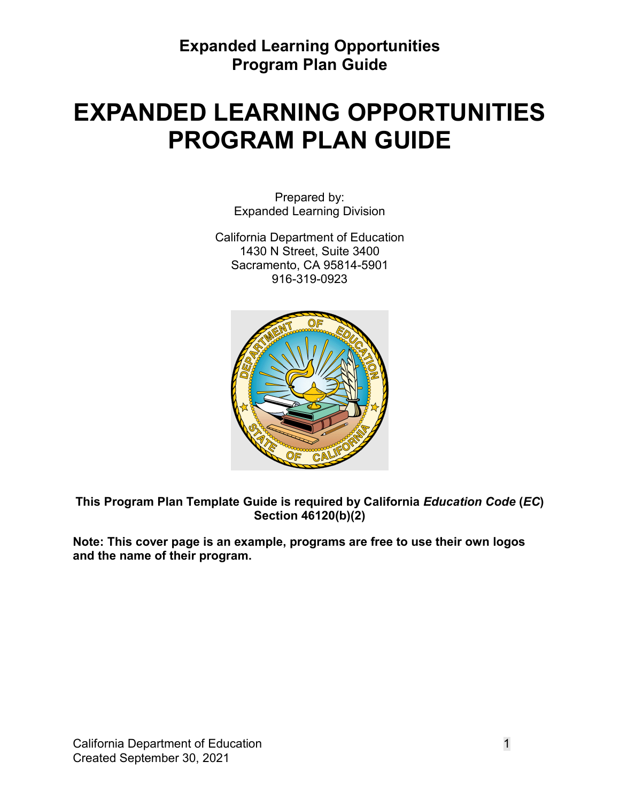# **EXPANDED LEARNING OPPORTUNITIES PROGRAM PLAN GUIDE**

Prepared by: Expanded Learning Division

California Department of Education 1430 N Street, Suite 3400 Sacramento, CA 95814-5901 916-319-0923



**This Program Plan Template Guide is required by California** *Education Code* **(***EC***) Section 46120(b)(2)** 

**Note: This cover page is an example, programs are free to use their own logos and the name of their program.**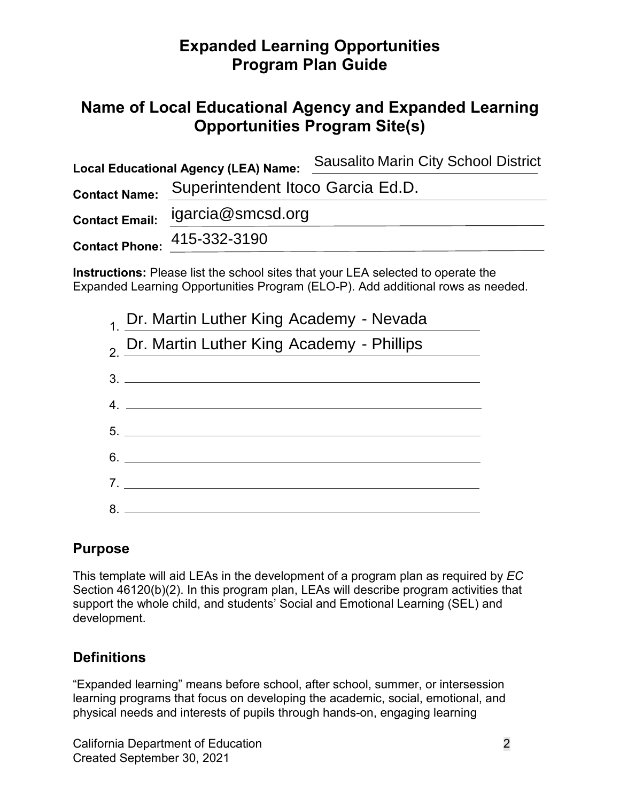# **Name of Local Educational Agency and Expanded Learning Opportunities Program Site(s)**

| <b>Local Educational Agency (LEA) Name:</b> |                                                        | <b>Sausalito Marin City School District</b>                                             |
|---------------------------------------------|--------------------------------------------------------|-----------------------------------------------------------------------------------------|
| <b>Contact Name:</b>                        | Superintendent Itoco Garcia Ed.D.<br>igarcia@smcsd.org |                                                                                         |
| <b>Contact Email:</b>                       |                                                        |                                                                                         |
|                                             | Contact Phone: 415-332-3190                            |                                                                                         |
|                                             |                                                        | <b>Instructions:</b> Please list the school sites that your LEA selected to operate the |

Expanded Learning Opportunities Program (ELO-P). Add additional rows as needed.

| 1. Dr. Martin Luther King Academy - Nevada             |
|--------------------------------------------------------|
| <sub>2</sub> Dr. Martin Luther King Academy - Phillips |
|                                                        |
| 4.                                                     |
|                                                        |
| $6.$ $\overline{\phantom{a}}$                          |
| 7.                                                     |
| 8.                                                     |

### **Purpose**

 support the whole child, and students' Social and Emotional Learning (SEL) and development. This template will aid LEAs in the development of a program plan as required by *EC*  Section 46120(b)(2). In this program plan, LEAs will describe program activities that

### **Definitions**

 learning programs that focus on developing the academic, social, emotional, and "Expanded learning" means before school, after school, summer, or intersession physical needs and interests of pupils through hands-on, engaging learning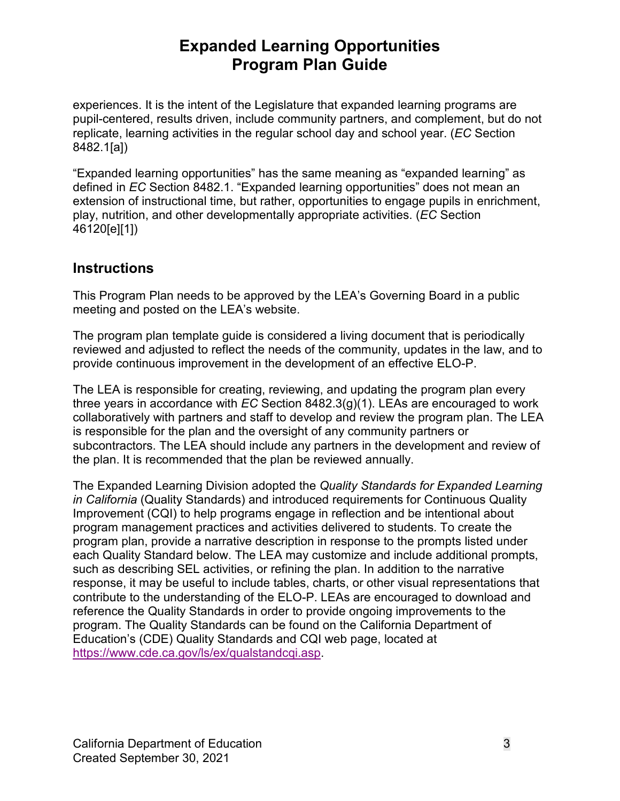replicate, learning activities in the regular school day and school year. (*EC* Section 8482.1[a]) experiences. It is the intent of the Legislature that expanded learning programs are pupil-centered, results driven, include community partners, and complement, but do not

"Expanded learning opportunities" has the same meaning as "expanded learning" as defined in *EC* Section 8482.1. "Expanded learning opportunities" does not mean an extension of instructional time, but rather, opportunities to engage pupils in enrichment, play, nutrition, and other developmentally appropriate activities. (*EC* Section 46120[e][1])

### **Instructions**

This Program Plan needs to be approved by the LEA's Governing Board in a public meeting and posted on the LEA's website.

 The program plan template guide is considered a living document that is periodically reviewed and adjusted to reflect the needs of the community, updates in the law, and to provide continuous improvement in the development of an effective ELO-P.

The LEA is responsible for creating, reviewing, and updating the program plan every three years in accordance with *EC* Section 8482.3(g)(1). LEAs are encouraged to work collaboratively with partners and staff to develop and review the program plan. The LEA is responsible for the plan and the oversight of any community partners or subcontractors. The LEA should include any partners in the development and review of the plan. It is recommended that the plan be reviewed annually.

 such as describing SEL activities, or refining the plan. In addition to the narrative program. The Quality Standards can be found on the California Department of Education's (CDE) Quality Standards and CQI web page, located at The Expanded Learning Division adopted the *Quality Standards for Expanded Learning in California* (Quality Standards) and introduced requirements for Continuous Quality Improvement (CQI) to help programs engage in reflection and be intentional about program management practices and activities delivered to students. To create the program plan, provide a narrative description in response to the prompts listed under each Quality Standard below. The LEA may customize and include additional prompts, response, it may be useful to include tables, charts, or other visual representations that contribute to the understanding of the ELO-P. LEAs are encouraged to download and reference the Quality Standards in order to provide ongoing improvements to the [https://www.cde.ca.gov/ls/ex/qualstandcqi.asp.](https://www.cde.ca.gov/ls/ex/qualstandcqi.asp)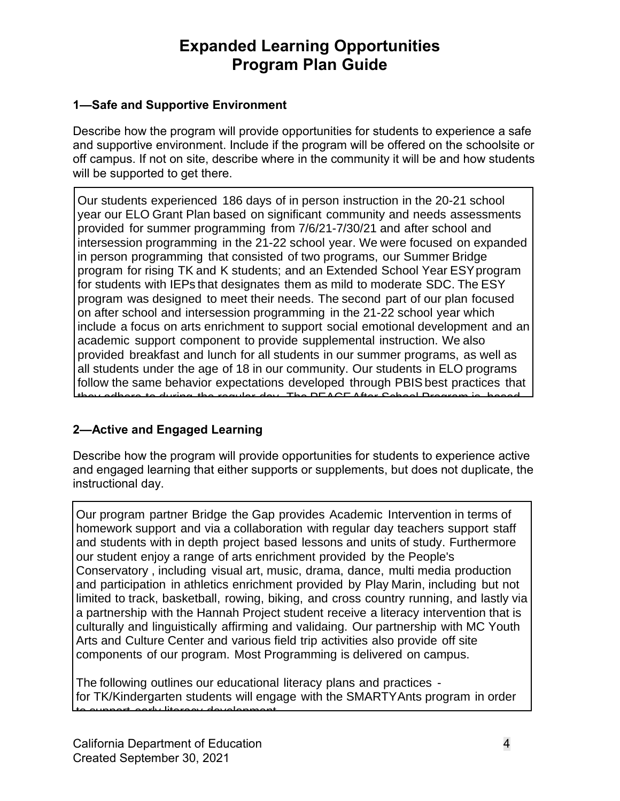#### **1—Safe and Supportive Environment**

 Describe how the program will provide opportunities for students to experience a safe and supportive environment. Include if the program will be offered on the schoolsite or off campus. If not on site, describe where in the community it will be and how students will be supported to get there.

Our students experienced 186 days of in person instruction in the 20-21 school year our ELO Grant Plan based on significant community and needs assessments provided for summer programming from 7/6/21-7/30/21 and after school and intersession programming in the 21-22 school year. We were focused on expanded in person programming that consisted of two programs, our Summer Bridge program for rising TK and K students; and an Extended School Year ESY program for students with IEPs that designates them as mild to moderate SDC. The ESY program was designed to meet their needs. The second part of our plan focused on after school and intersession programming in the 21-22 school year which include a focus on arts enrichment to support social emotional development and an academic support component to provide supplemental instruction. We also provided breakfast and lunch for all students in our summer programs, as well as all students under the age of 18 in our community. Our students in ELO programs follow the same behavior expectations developed through PBIS best practices that  $\frac{d}{dx}$  The DEACE After Cabaal Dr

#### **2—Active and Engaged Learning**  $\overline{\phantom{a}}$ district employees, his same high through the same high through the same high process utilized by HR to Screen

Describe how the program will provide opportunities for students to experience active and engaged learning that either supports or supplements, but does not duplicate, the  $\Gamma$  -structional day. The PEACE Director will undergo the same PBIS training of  $\Gamma$ all instructional day staff, and be trained on how to properly redirect and management on how to properly redirect

instructional day.<br>
Our program partner Bridge the Ga<br>
homework support and via a collabe<br>
and students with in depth project b<br>
our student enjoy a range of arts en<br>
Conservatory, including visual art, i<br>
and participatio Our program partner Bridge the Gap provides Academic Intervention in terms of Sar program partner Drage are Sap previous reassing merrememments on the set notion in support and the a collaboration than regard any teachers support staff and students with in depth project based lessons and units of study. Furthermore and students mannings project sased ressons and antest steady in annonnered<br>our student enjoy a range of arts enrichment provided by the People's ed bused to stypy a farige of alle christment provises by the Peeple's chosen and the same conservatory, including visual art, music, drama, dance, multi media production emergency, mergency route and maps, and the same training and participation. and participation in dimetics emicration provided by that the motioning setting.<br>Iimited to track, basketball, rowing, biking, and cross country running, and lastly via minication relative backet of studies with relating to safety procedures remains and receive a literacy intervention that is a partnership with the Hannan Hojset statent reserve a meracy interrention that to<br>culturally and linguistically affirming and validaing. Our partnership with MC Youth bandfulny and imgenerically allmining and validality. Sat partitioning minimic redur-<br>Arts and Culture Center and various field trip activities also provide off site the and called content and tances how the activities also provide on older. componente or ear program meet regramming to demoted on eampde. components of our program. Most Programming is delivered on campus.

The following outlines our educational literacy plans and practices mo renormly calinted car caacalienal incredy plane and practices.<br>For TK/Kindergarten students will engage with the SMARTV Ants program in order for the summatigation ordered will engage must no emilitative program in eraction of for TK/Kindergarten students will engage with the SMARTY Ants program in order to support early literacy development.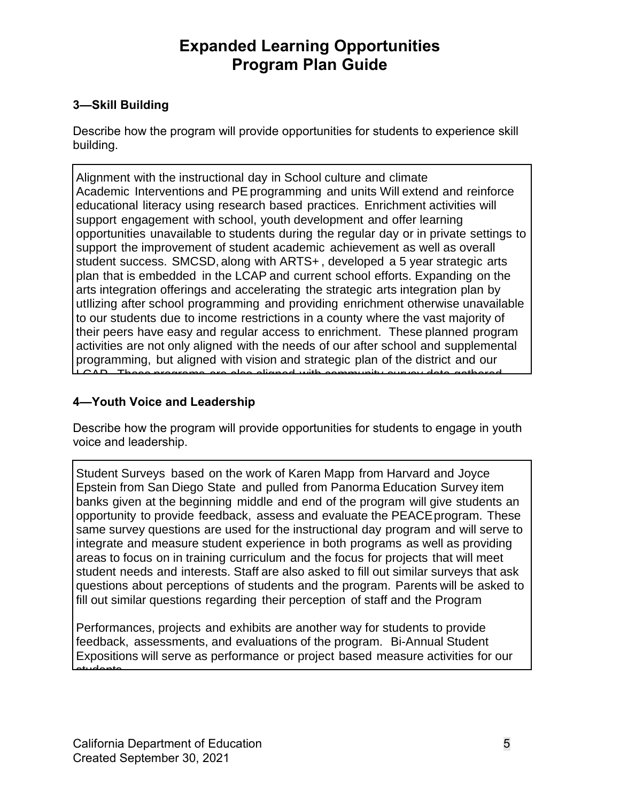### **3—Skill Building**

 Describe how the program will provide opportunities for students to experience skill building.

Alignment with the instructional day in School culture and climate Academic Interventions and PE programming and units Will extend and reinforce educational literacy using research based practices. Enrichment activities will support engagement with school, youth development and offer learning opportunities unavailable to students during the regular day or in private settings to support the improvement of student academic achievement as well as overall student success. SMCSD, along with ARTS+ , developed a 5 year strategic arts plan that is embedded in the LCAP and current school efforts. Expanding on the arts integration offerings and accelerating the strategic arts integration plan by utIlizing after school programming and providing enrichment otherwise unavailable to our students due to income restrictions in a county where the vast majority of their peers have easy and regular access to enrichment. These planned program activities are not only aligned with the needs of our after school and supplemental programming, but aligned with vision and strategic plan of the district and our  $L_{\rm CAD}$ . These programs are also aligned with community survey data gathered.

### **4—Youth Voice and Leadership**  $\overline{a}$  **and Marin City, this is a basic is a basic is a basic is a basic is a basic is a basic is a basic is a basic is a basic is a basic is a basic is a basic is a basic is a basic is a bas**

community.

Describe how the program will provide opportunities for students to engage in youth  $\mathsf v$ oice and leadership. The offering equitable access to enrichment for all students in our all students in our all students in our all students in our all students in our all students in our all students in our all st

Student Surveys based on the work of Karen Mapp from Harvard and Joyce Epstein from San Diego State and pulled from Panorma Education Survey item banks given at the beginning middle and end of the program will give students an opportunity to provide feedback, assess and evaluate the PEACE program. These same survey questions are used for the instructional day program and will serve to integrate and measure student experience in both programs as well as providing areas to focus on in training curriculum and the focus for projects that will meet student needs and interests. Staff are also asked to fill out similar surveys that ask questions about perceptions of students and the program. Parents will be asked to fill out similar questions regarding their perception of staff and the Program

Performances, projects and exhibits are another way for students to provide feedback, assessments, and evaluations of the program. Bi-Annual Student Expositions will serve as performance or project based measure activities for our students.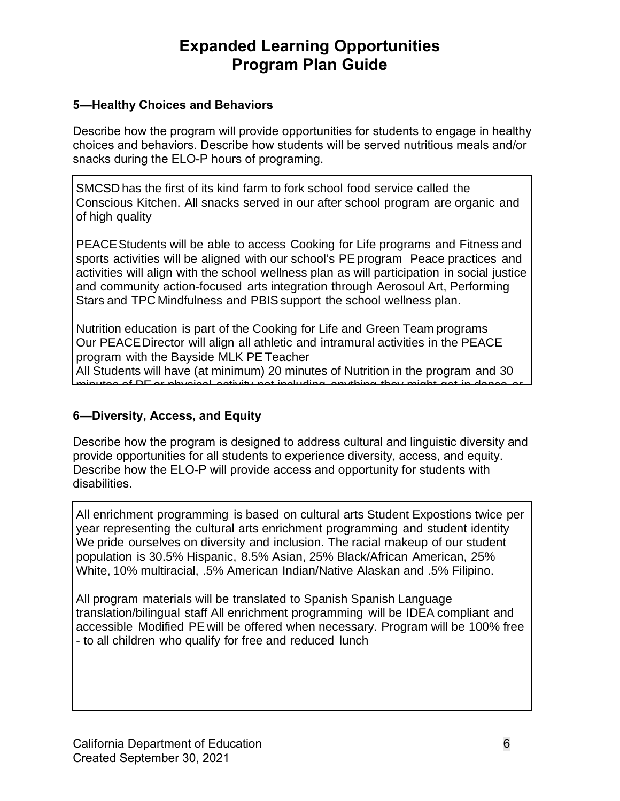#### **5—Healthy Choices and Behaviors**

 Describe how the program will provide opportunities for students to engage in healthy choices and behaviors. Describe how students will be served nutritious meals and/or snacks during the ELO-P hours of programing.

SMCSD has the first of its kind farm to fork school food service called the Conscious Kitchen. All snacks served in our after school program are organic and of high quality

PEACE Students will be able to access Cooking for Life programs and Fitness and sports activities will be aligned with our school's PE program Peace practices and activities will align with the school wellness plan as will participation in social justice and community action-focused arts integration through Aerosoul Art, Performing Stars and TPC Mindfulness and PBIS support the school wellness plan.

Nutrition education is part of the Cooking for Life and Green Team programs Our PEACE Director will align all athletic and intramural activities in the PEACE program with the Bayside MLK PE Teacher

All Students will have (at minimum) 20 minutes of Nutrition in the program and 30 minutes of PE or physical activity not including anything they might get in dance or

#### **6—Diversity, Access, and Equity**  An example of snack:

Describe how the program is designed to address cultural and linguistic diversity and provide opportunities for all students to experience diversity, access, and equity. Describe how the ELO-P will provide access and opportunity for students with disabilities.

All enrichment programming is based on cultural arts Student Expostions twice per we pride ourselves on diversity and inclusion. The racial makeup of our student white, 10% multiracial, .5% American Indian/Native Alaskan and .5% Filipino. year representing the cultural arts enrichment programming and student identity population is 30.5% Hispanic, 8.5% Asian, 25% Black/African American, 25%

All program materials will be translated to Spanish Spanish Language accessible Modified PE will be offered when necessary. Program will be 100% free translation/bilingual staff All enrichment programming will be IDEA compliant and - to all children who qualify for free and reduced lunch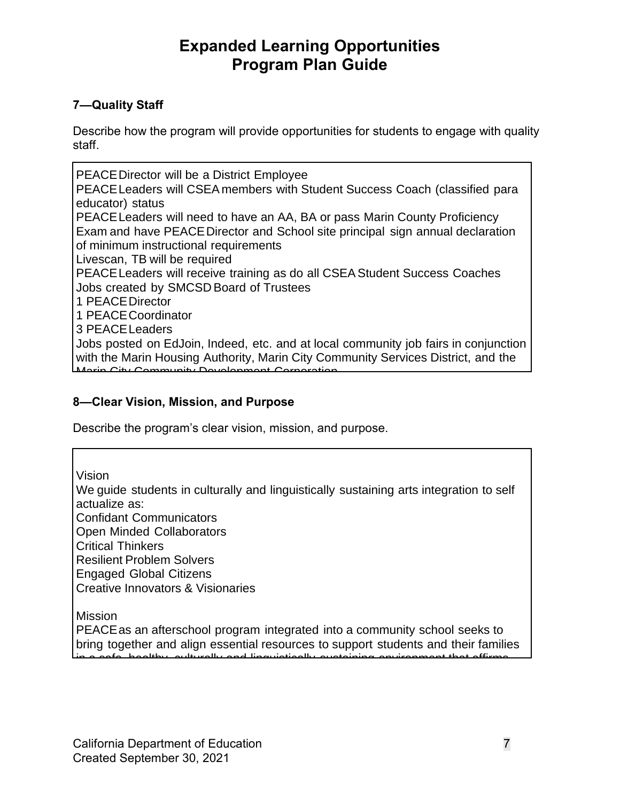#### **7—Quality Staff**

 Describe how the program will provide opportunities for students to engage with quality staff.

PEACE Director will be a District Employee PEACE Leaders will CSEA members with Student Success Coach (classified para educator) status PEACE Leaders will need to have an AA, BA or pass Marin County Proficiency Exam and have PEACE Director and School site principal sign annual declaration of minimum instructional requirements Livescan, TB will be required PEACE Leaders will receive training as do all CSEA Student Success Coaches Jobs created by SMCSD Board of Trustees 1 PEACE Director 1 PEACE Coordinator 3 PEACE Leaders Jobs posted on EdJoin, Indeed, etc. and at local community job fairs in conjunction with the Marin Housing Authority, Marin City Community Services District, and the Marin City Community Development Corporation

#### 8—Clear Vision, Mission, and Purpose  $H_{\rm eff}$  decisions based on  $\mathcal{H}_{\rm eff}$  and expectations and expectations outlined in SMCSDSDs of SMCSDSDs of SMCSDSDs  $\mathcal{H}_{\rm eff}$

Describe the program's clear vision, mission, and purpose.

 $\frac{p}{p}$ Vision

 $\frac{10101}{2}$ We guide students in culturally and linguistically sustaining arts integration to self<br>actualize as: Monthly PEACE Program meetings led by PEACE Director (in conjunction with Confidant Communicators **Open Minded Collaborators** Statear Thinkers<br>Resilient Problem Solvers actualize as: Critical Thinkers

be required to complete early childhood education units. Engaged Global Citizens

Creative Innovators & Visionaries

Mission

PEACE as an afterschool program integrated into a community school seeks to bring together and align essential resources to support students and their families  $\frac{1}{10}$  a safe, healthy, sulturally and linguistically sustaining environment that affirms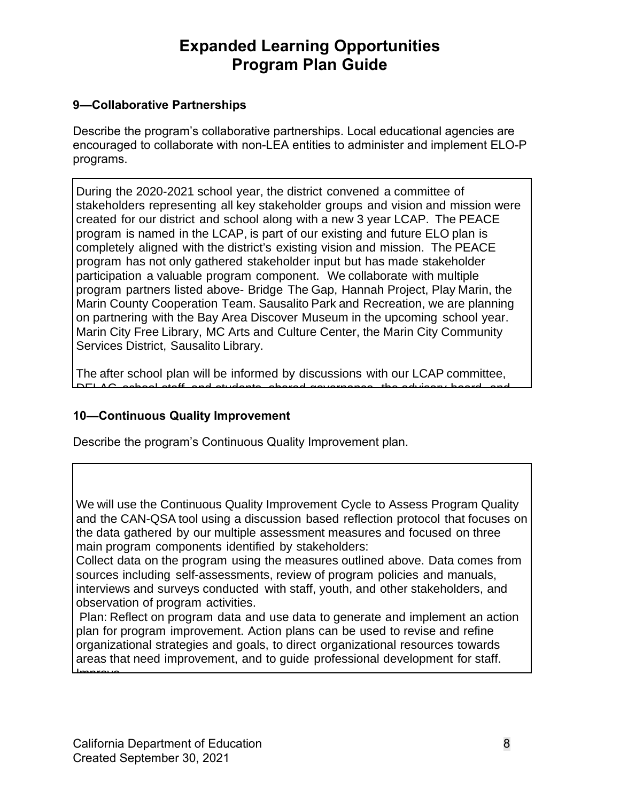### **9—Collaborative Partnerships**

 programs. Describe the program's collaborative partnerships. Local educational agencies are encouraged to collaborate with non-LEA entities to administer and implement ELO-P

During the 2020-2021 school year, the district convened a committee of stakeholders representing all key stakeholder groups and vision and mission were created for our district and school along with a new 3 year LCAP. The PEACE program is named in the LCAP, is part of our existing and future ELO plan is completely aligned with the district's existing vision and mission. The PEACE program has not only gathered stakeholder input but has made stakeholder participation a valuable program component. We collaborate with multiple program partners listed above- Bridge The Gap, Hannah Project, Play Marin, the Marin County Cooperation Team. Sausalito Park and Recreation, we are planning on partnering with the Bay Area Discover Museum in the upcoming school year. Marin City Free Library, MC Arts and Culture Center, the Marin City Community Services District, Sausalito Library.

The after school plan will be informed by discussions with our LCAP committee, DELAC, school staff, and students, shared governance, the advisory board, and

#### **10—Continuous Quality Improvement**  $\blacksquare$

Describe the program's Continuous Quality Improvement plan.

We will use the Continuous Quality Improvement Cycle to Assess Program Quality and the CAN-QSA tool using a discussion based reflection protocol that focuses on are extergaments by our manipre accordination including and recurse on an education of the marin components identified by stakeholders: the data gathered by our multiple assessment measures and focused on three

Conscious Kitchen - Conscious Kitchen provides direction for our all organic food

with program compenents rechtlied by clandholders.<br>Collect data on the program using the measures outlined above. Data comes from solitics which on the program working the modelness commod discrept band connect.<br>Sources including self-assessments, review of program policies and manuals, interviews and surveys conducted with staff, youth, and other stakeholders, and observation of program activities.

 Plan: Reflect on program data and use data to generate and implement an action plan for program improvement. Action plans can be used to revise and refine organizational strategies and goals, to direct organizational resources towards areas that need improvement, and to guide professional development for staff. Improve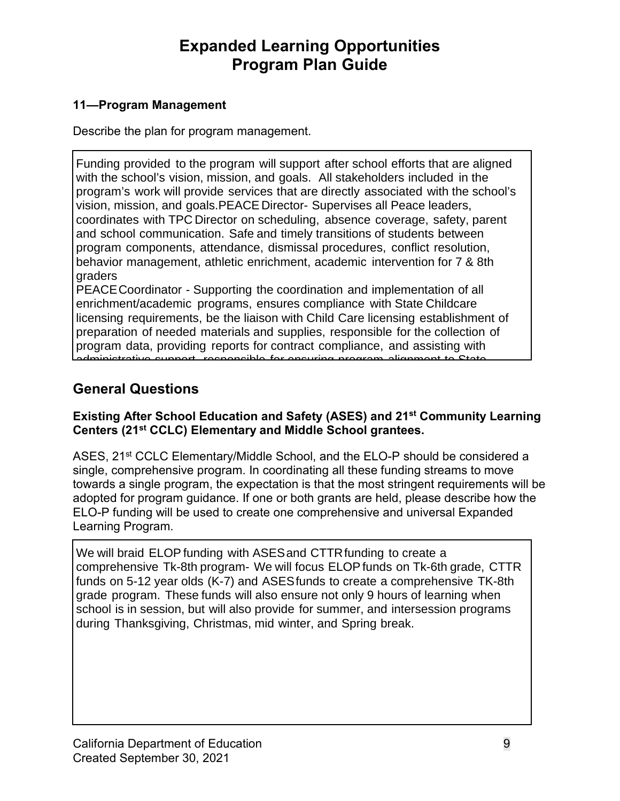### **11—Program Management**

Describe the plan for program management.

Funding provided to the program will support after school efforts that are aligned with the school's vision, mission, and goals. All stakeholders included in the program's work will provide services that are directly associated with the school's vision, mission, and goals.PEACE Director- Supervises all Peace leaders, coordinates with TPC Director on scheduling, absence coverage, safety, parent and school communication. Safe and timely transitions of students between program components, attendance, dismissal procedures, conflict resolution, behavior management, athletic enrichment, academic intervention for 7 & 8th graders

PEACE Coordinator - Supporting the coordination and implementation of all enrichment/academic programs, ensures compliance with State Childcare licensing requirements, be the liaison with Child Care licensing establishment of preparation of needed materials and supplies, responsible for the collection of program data, providing reports for contract compliance, and assisting with responsible for ensuring program alignment to

### **Ceneral Questions and timely transitions of students between programs of students between programs of students**

### Existing After School Education and Safety (ASES) and 21<sup>st</sup> Community Learning Centers (21<sup>st</sup> CCLC) Elementary and Middle School grantees.

ASES, 21<sup>st</sup> CCLC Elementary/Middle School, and the ELO-P should be considered a single, comprehensive program. In coordinating all these funding streams to move towards a single program, the expectation is that the most stringent requirements will be adopted for program guidance. If one or both grants are held, please describe how the ELO-P funding will be used to create one comprehensive and universal Expanded Learning Program.

Students will be picked up directly from classroom teachers 5 minutes before We will braid ELOP funding with ASES and CTTR funding to create a comprehensive Tk-8th program- We will focus ELOP funds on Tk-6th grade, CTTR funds on 5-12 year olds (K-7) and ASES funds to create a comprehensive TK-8th grade program. These funds will also ensure not only 9 hours of learning when school is in session, but will also provide for summer, and intersession programs during Thanksgiving, Christmas, mid winter, and Spring break.

offered programs.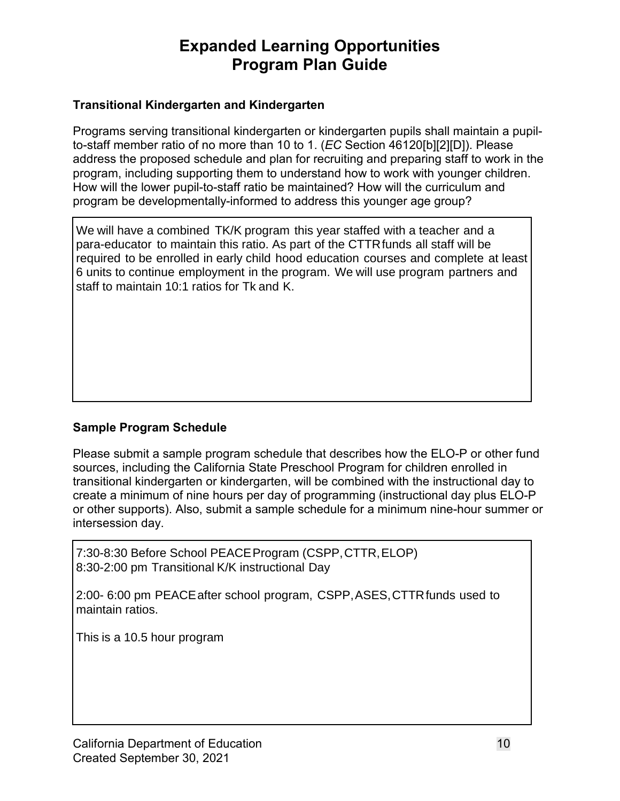### **Transitional Kindergarten and Kindergarten**

Programs serving transitional kindergarten or kindergarten pupils shall maintain a pupilto-staff member ratio of no more than 10 to 1. (*EC* Section 46120[b][2][D]). Please address the proposed schedule and plan for recruiting and preparing staff to work in the program, including supporting them to understand how to work with younger children. How will the lower pupil-to-staff ratio be maintained? How will the curriculum and program be developmentally-informed to address this younger age group?

ounger age group?<br>
d with a teacher an<br>
R funds all staff will<br>
uurses and complet<br>
use program partn<br>
show the ELO-P c<br>
m for children enro<br>
d with the instruction<br>
(instructional day<br>
minimum nine-hou We will have a combined TK/K program this year staffed with a teacher and a para-educator to maintain this ratio. As part of the CTTR funds all staff will be required to be enrolled in early child hood education courses and complete at least 6 units to continue employment in the program. We will use program partners and staff to maintain 10:1 ratios for Tk and K.

### **Sample Program Schedule**

Please submit a sample program schedule that describes how the ELO-P or other fund sources, including the California State Preschool Program for children enrolled in transitional kindergarten or kindergarten, will be combined with the instructional day to create a minimum of nine hours per day of programming (instructional day plus ELO-P or other supports). Also, submit a sample schedule for a minimum nine-hour summer or intersession day.

7:30-8:30 Before School PEACE Program (CSPP, CTTR, ELOP) 8:30-2:00 pm Transitional K/K instructional Day

2:00- 6:00 pm PEACE after school program, CSPP, ASES, CTTR funds used to maintain ratios.

This is a 10.5 hour program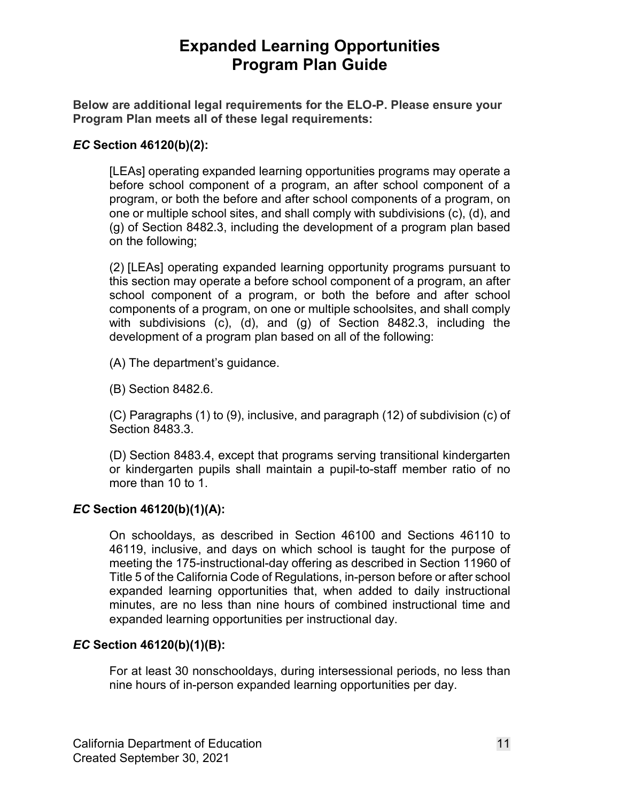**Below are additional legal requirements for the ELO-P. Please ensure your Program Plan meets all of these legal requirements:** 

#### *EC* **Section 46120(b)(2):**

[LEAs] operating expanded learning opportunities programs may operate a before school component of a program, an after school component of a program, or both the before and after school components of a program, on one or multiple school sites, and shall comply with subdivisions (c), (d), and (g) of Section 8482.3, including the development of a program plan based on the following;

(2) [LEAs] operating expanded learning opportunity programs pursuant to this section may operate a before school component of a program, an after school component of a program, or both the before and after school components of a program, on one or multiple schoolsites, and shall comply with subdivisions (c), (d), and (g) of Section 8482.3, including the development of a program plan based on all of the following:

(A) The department's guidance.

(B) Section 8482.6.

(C) Paragraphs (1) to (9), inclusive, and paragraph (12) of subdivision (c) of Section 8483.3.

(D) Section 8483.4, except that programs serving transitional kindergarten or kindergarten pupils shall maintain a pupil-to-staff member ratio of no more than 10 to 1.

#### *EC* **Section 46120(b)(1)(A):**

 Title 5 of the California Code of Regulations, in-person before or after school On schooldays, as described in Section 46100 and Sections 46110 to 46119, inclusive, and days on which school is taught for the purpose of meeting the 175-instructional-day offering as described in Section 11960 of expanded learning opportunities that, when added to daily instructional minutes, are no less than nine hours of combined instructional time and expanded learning opportunities per instructional day.

#### *EC* **Section 46120(b)(1)(B):**

For at least 30 nonschooldays, during intersessional periods, no less than nine hours of in-person expanded learning opportunities per day.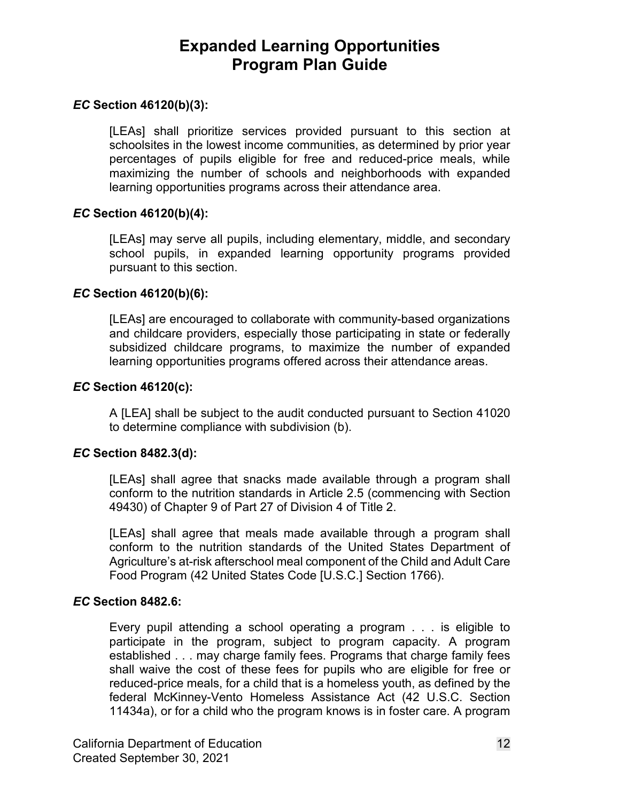#### *EC* **Section 46120(b)(3):**

[LEAs] shall prioritize services provided pursuant to this section at schoolsites in the lowest income communities, as determined by prior year percentages of pupils eligible for free and reduced-price meals, while maximizing the number of schools and neighborhoods with expanded learning opportunities programs across their attendance area.

#### *EC* **Section 46120(b)(4):**

[LEAs] may serve all pupils, including elementary, middle, and secondary school pupils, in expanded learning opportunity programs provided pursuant to this section.

#### *EC* **Section 46120(b)(6):**

 and childcare providers, especially those participating in state or federally subsidized childcare programs, to maximize the number of expanded [LEAs] are encouraged to collaborate with community-based organizations learning opportunities programs offered across their attendance areas.

#### *EC* **Section 46120(c):**

A [LEA] shall be subject to the audit conducted pursuant to Section 41020 to determine compliance with subdivision (b).

#### *EC* **Section 8482.3(d):**

[LEAs] shall agree that snacks made available through a program shall conform to the nutrition standards in Article 2.5 (commencing with Section 49430) of Chapter 9 of Part 27 of Division 4 of Title 2.

 Food Program (42 United States Code [U.S.C.] Section 1766). [LEAs] shall agree that meals made available through a program shall conform to the nutrition standards of the United States Department of Agriculture's at-risk afterschool meal component of the Child and Adult Care

#### *EC* **Section 8482.6:**

 reduced-price meals, for a child that is a homeless youth, as defined by the federal McKinney-Vento Homeless Assistance Act (42 U.S.C. Section 11434a), or for a child who the program knows is in foster care. A program Every pupil attending a school operating a program . . . is eligible to participate in the program, subject to program capacity. A program established . . . may charge family fees. Programs that charge family fees shall waive the cost of these fees for pupils who are eligible for free or